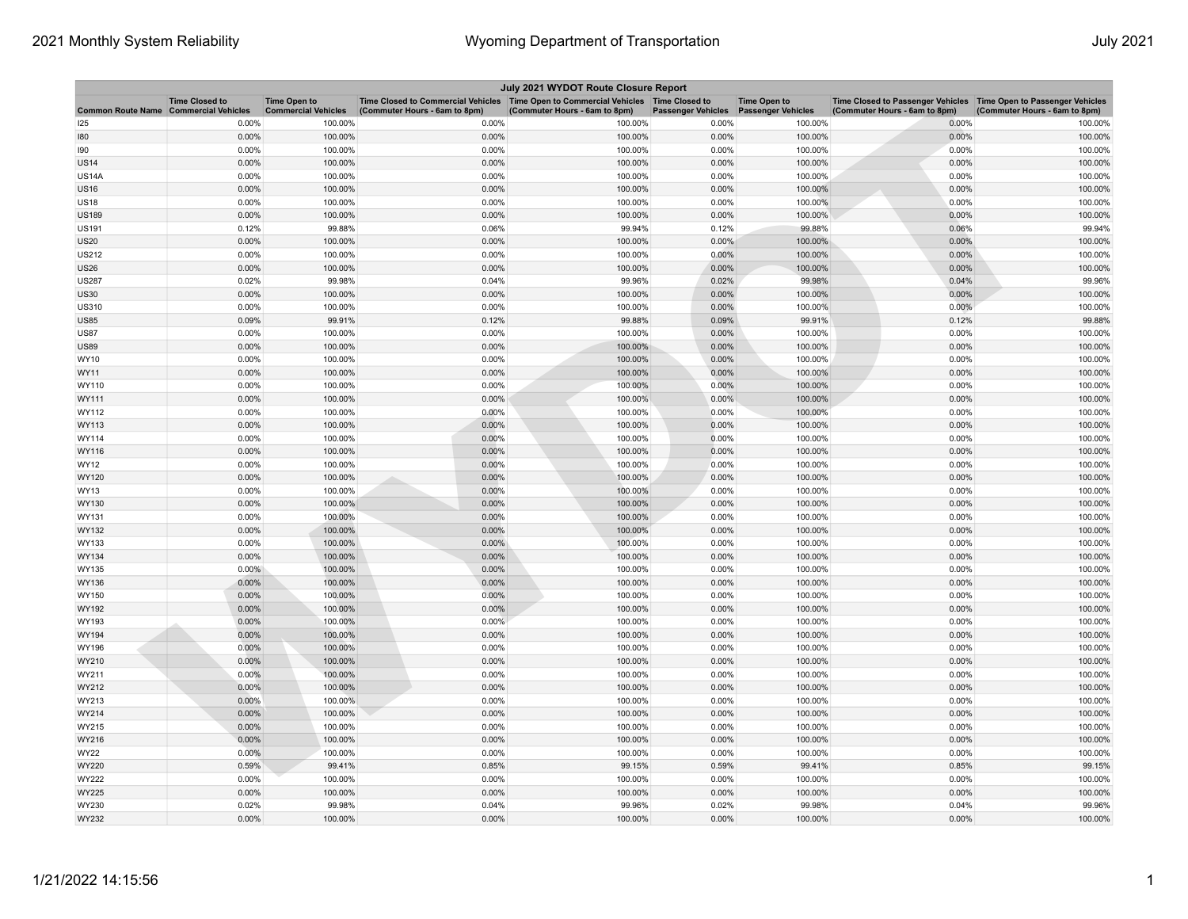| July 2021 WYDOT Route Closure Report         |                       |                                                   |                                                                                                                       |                               |                           |                                                  |                                                                                                    |                               |  |
|----------------------------------------------|-----------------------|---------------------------------------------------|-----------------------------------------------------------------------------------------------------------------------|-------------------------------|---------------------------|--------------------------------------------------|----------------------------------------------------------------------------------------------------|-------------------------------|--|
| <b>Common Route Name Commercial Vehicles</b> | <b>Time Closed to</b> | <b>Time Open to</b><br><b>Commercial Vehicles</b> | Time Closed to Commercial Vehicles  Time Open to Commercial Vehicles  Time Closed to<br>(Commuter Hours - 6am to 8pm) | (Commuter Hours - 6am to 8pm) | <b>Passenger Vehicles</b> | <b>Time Open to</b><br><b>Passenger Vehicles</b> | Time Closed to Passenger Vehicles Time Open to Passenger Vehicles<br>(Commuter Hours - 6am to 8pm) | (Commuter Hours - 6am to 8pm) |  |
| 125                                          | 0.00%                 | 100.00%                                           | 0.00%                                                                                                                 | 100.00%                       | 0.00%                     | 100.00%                                          | 0.00%                                                                                              | 100.00%                       |  |
| 180                                          | 0.00%                 | 100.00%                                           | 0.00%                                                                                                                 | 100.00%                       | 0.00%                     | 100.00%                                          | 0.00%                                                                                              | 100.00%                       |  |
| 190                                          | 0.00%                 | 100.00%                                           | 0.00%                                                                                                                 | 100.00%                       | 0.00%                     | 100.00%                                          | 0.00%                                                                                              | 100.00%                       |  |
| US14                                         | 0.00%                 | 100.00%                                           | 0.00%                                                                                                                 | 100.00%                       | 0.00%                     | 100.00%                                          | 0.00%                                                                                              | 100.00%                       |  |
| <b>US14A</b>                                 | 0.00%                 | 100.00%                                           | 0.00%                                                                                                                 | 100.00%                       | 0.00%                     | 100.00%                                          | 0.00%                                                                                              | 100.00%                       |  |
| <b>US16</b>                                  | 0.00%                 | 100.00%                                           | 0.00%                                                                                                                 | 100.00%                       | 0.00%                     | 100.00%                                          | 0.00%                                                                                              | 100.00%                       |  |
| US18                                         | 0.00%                 | 100.00%                                           | 0.00%                                                                                                                 | 100.00%                       | 0.00%                     | 100.00%                                          | 0.00%                                                                                              | 100.00%                       |  |
| <b>US189</b>                                 | 0.00%                 | 100.00%                                           | 0.00%                                                                                                                 | 100.00%                       | 0.00%                     | 100.00%                                          | 0.00%                                                                                              | 100.00%                       |  |
| <b>US191</b>                                 | 0.12%                 | 99.88%                                            | 0.06%                                                                                                                 | 99.94%                        | 0.12%                     | 99.88%                                           | 0.06%                                                                                              | 99.94%                        |  |
| <b>US20</b>                                  | 0.00%                 | 100.00%                                           | 0.00%                                                                                                                 | 100.00%                       | 0.00%                     | 100.00%                                          | 0.00%                                                                                              | 100.00%                       |  |
| <b>US212</b>                                 | 0.00%                 | 100.00%                                           | 0.00%                                                                                                                 | 100.00%                       | 0.00%                     | 100.00%                                          | 0.00%                                                                                              | 100.00%                       |  |
| <b>US26</b>                                  | 0.00%                 | 100.00%                                           | 0.00%                                                                                                                 | 100.00%                       | 0.00%                     | 100.00%                                          | 0.00%                                                                                              | 100.00%                       |  |
| <b>US287</b>                                 | 0.02%                 | 99.98%                                            | 0.04%                                                                                                                 | 99.96%                        | 0.02%                     | 99.98%                                           | 0.04%                                                                                              | 99.96%                        |  |
| <b>US30</b>                                  | 0.00%                 | 100.00%                                           | 0.00%                                                                                                                 | 100.00%                       | 0.00%                     | 100.00%                                          | 0.00%                                                                                              | 100.00%                       |  |
| <b>US310</b>                                 | 0.00%                 | 100.00%                                           | 0.00%                                                                                                                 | 100.00%                       | 0.00%                     | 100.00%                                          | 0.00%                                                                                              | 100.00%                       |  |
| <b>US85</b>                                  | 0.09%                 | 99.91%                                            | 0.12%                                                                                                                 | 99.88%                        | 0.09%                     | 99.91%                                           | 0.12%                                                                                              | 99.88%                        |  |
| <b>US87</b>                                  | 0.00%                 | 100.00%                                           | 0.00%                                                                                                                 | 100.00%                       | 0.00%                     | 100.00%                                          | 0.00%                                                                                              | 100.00%                       |  |
| <b>US89</b>                                  | 0.00%                 | 100.00%                                           | 0.00%                                                                                                                 | 100.00%                       | 0.00%                     | 100.00%                                          | 0.00%                                                                                              | 100.00%                       |  |
| WY10                                         | 0.00%                 | 100.00%                                           | 0.00%                                                                                                                 | 100.00%                       | 0.00%                     | 100.00%                                          | 0.00%                                                                                              | 100.00%                       |  |
| WY11                                         | 0.00%                 | 100.00%                                           | 0.00%                                                                                                                 | 100.00%                       | 0.00%                     | 100.00%                                          | 0.00%                                                                                              | 100.00%                       |  |
| WY110                                        | 0.00%                 | 100.00%                                           | 0.00%                                                                                                                 | 100.00%                       | 0.00%                     | 100.00%                                          | 0.00%                                                                                              | 100.00%                       |  |
| WY111                                        | 0.00%                 | 100.00%                                           | 0.00%                                                                                                                 | 100.00%                       | 0.00%                     | 100.00%                                          | 0.00%                                                                                              | 100.00%                       |  |
| WY112                                        | 0.00%                 | 100.00%                                           | 0.00%                                                                                                                 | 100.00%                       | 0.00%                     | 100.00%                                          | 0.00%                                                                                              | 100.00%                       |  |
| WY113                                        | 0.00%                 | 100.00%                                           | 0.00%                                                                                                                 | 100.00%                       | 0.00%                     | 100.00%                                          | 0.00%                                                                                              | 100.00%                       |  |
| WY114                                        | 0.00%                 | 100.00%                                           | 0.00%                                                                                                                 | 100.00%                       | 0.00%                     | 100.00%                                          | 0.00%                                                                                              | 100.00%                       |  |
| WY116                                        | 0.00%                 | 100.00%                                           | 0.00%                                                                                                                 | 100.00%                       | 0.00%                     | 100.00%                                          | 0.00%                                                                                              | 100.00%                       |  |
| WY12                                         | 0.00%                 | 100.00%                                           | 0.00%                                                                                                                 | 100.00%                       | 0.00%                     | 100.00%                                          | 0.00%                                                                                              | 100.00%                       |  |
| WY120                                        | 0.00%                 | 100.00%                                           | 0.00%                                                                                                                 | 100.00%                       | 0.00%                     | 100.00%                                          | 0.00%                                                                                              | 100.00%                       |  |
| WY13                                         | 0.00%                 | 100.00%                                           | 0.00%                                                                                                                 | 100.00%                       | 0.00%                     | 100.00%                                          | 0.00%                                                                                              | 100.00%                       |  |
| WY130                                        | 0.00%                 | 100.00%                                           | 0.00%                                                                                                                 | 100.00%                       | 0.00%                     | 100.00%                                          | 0.00%                                                                                              | 100.00%                       |  |
| WY131                                        | 0.00%                 | 100.00%                                           | 0.00%                                                                                                                 | 100.00%                       | 0.00%                     | 100.00%                                          | 0.00%                                                                                              | 100.00%                       |  |
| WY132                                        | 0.00%                 | 100.00%                                           | 0.00%                                                                                                                 | 100.00%                       | 0.00%                     | 100.00%                                          | 0.00%                                                                                              | 100.00%                       |  |
| WY133                                        | 0.00%                 | 100.00%                                           | 0.00%                                                                                                                 | 100.00%                       | 0.00%                     | 100.00%                                          | 0.00%                                                                                              | 100.00%                       |  |
| WY134                                        | 0.00%                 | 100.00%                                           | 0.00%                                                                                                                 | 100.00%                       | 0.00%                     | 100.00%                                          | 0.00%                                                                                              | 100.00%                       |  |
| WY135                                        | 0.00%                 | 100.00%                                           | 0.00%                                                                                                                 | 100.00%                       | 0.00%                     | 100.00%                                          | 0.00%                                                                                              | 100.00%                       |  |
| WY136                                        | 0.00%                 | 100.00%                                           | 0.00%                                                                                                                 | 100.00%                       | 0.00%                     | 100.00%                                          | 0.00%                                                                                              | 100.00%                       |  |
| WY150                                        | 0.00%                 | 100.00%                                           | 0.00%                                                                                                                 | 100.00%                       | 0.00%                     | 100.00%                                          | 0.00%                                                                                              | 100.00%                       |  |
| WY192                                        | 0.00%                 | 100.00%                                           | 0.00%                                                                                                                 | 100.00%                       | 0.00%                     | 100.00%                                          | 0.00%                                                                                              | 100.00%                       |  |
| WY193<br>WY194                               | 0.00%                 | 100.00%                                           | 0.00%                                                                                                                 | 100.00%                       | 0.00%                     | 100.00%                                          | 0.00%                                                                                              | 100.00%                       |  |
|                                              | 0.00%                 | 100.00%                                           | 0.00%                                                                                                                 | 100.00%                       | 0.00%                     | 100.00%                                          | 0.00%                                                                                              | 100.00%                       |  |
| WY196                                        | 0.00%                 | 100.00%                                           | 0.00%                                                                                                                 | 100.00%                       | 0.00%                     | 100.00%                                          | 0.00%                                                                                              | 100.00%                       |  |
| WY210                                        | 0.00%<br>0.00%        | 100.00%                                           | 0.00%                                                                                                                 | 100.00%<br>100.00%            | 0.00%<br>0.00%            | 100.00%<br>100.00%                               | 0.00%<br>0.00%                                                                                     | 100.00%<br>100.00%            |  |
| WY211                                        | 0.00%                 | 100.00%<br>100.00%                                | 0.00%<br>0.00%                                                                                                        | 100.00%                       | 0.00%                     | 100.00%                                          | 0.00%                                                                                              | 100.00%                       |  |
| WY212                                        |                       |                                                   |                                                                                                                       |                               |                           |                                                  |                                                                                                    |                               |  |
| WY213                                        | 0.00%                 | 100.00%                                           | 0.00%                                                                                                                 | 100.00%                       | 0.00%                     | 100.00%                                          | 0.00%                                                                                              | 100.00%                       |  |
| WY214<br>WY215                               | 0.00%<br>0.00%        | 100.00%<br>100.00%                                | 0.00%<br>0.00%                                                                                                        | 100.00%<br>100.00%            | 0.00%<br>0.00%            | 100.00%<br>100.00%                               | 0.00%<br>0.00%                                                                                     | 100.00%                       |  |
| WY216                                        | 0.00%                 | 100.00%                                           | 0.00%                                                                                                                 | 100.00%                       | 0.00%                     | 100.00%                                          | 0.00%                                                                                              | 100.00%<br>100.00%            |  |
|                                              | 0.00%                 |                                                   | 0.00%                                                                                                                 | 100.00%                       | 0.00%                     | 100.00%                                          | 0.00%                                                                                              | 100.00%                       |  |
| WY22<br>WY220                                | 0.59%                 | 100.00%<br>99.41%                                 | 0.85%                                                                                                                 | 99.15%                        | 0.59%                     | 99.41%                                           | 0.85%                                                                                              | 99.15%                        |  |
| WY222                                        | 0.00%                 | 100.00%                                           | 0.00%                                                                                                                 | 100.00%                       | 0.00%                     | 100.00%                                          | 0.00%                                                                                              | 100.00%                       |  |
| WY225                                        | 0.00%                 | 100.00%                                           | 0.00%                                                                                                                 | 100.00%                       | 0.00%                     | 100.00%                                          | 0.00%                                                                                              | 100.00%                       |  |
| WY230                                        | 0.02%                 | 99.98%                                            | 0.04%                                                                                                                 | 99.96%                        | 0.02%                     | 99.98%                                           | 0.04%                                                                                              | 99.96%                        |  |
| WY232                                        | 0.00%                 | 100.00%                                           | 0.00%                                                                                                                 | 100.00%                       | 0.00%                     | 100.00%                                          | 0.00%                                                                                              | 100.00%                       |  |
|                                              |                       |                                                   |                                                                                                                       |                               |                           |                                                  |                                                                                                    |                               |  |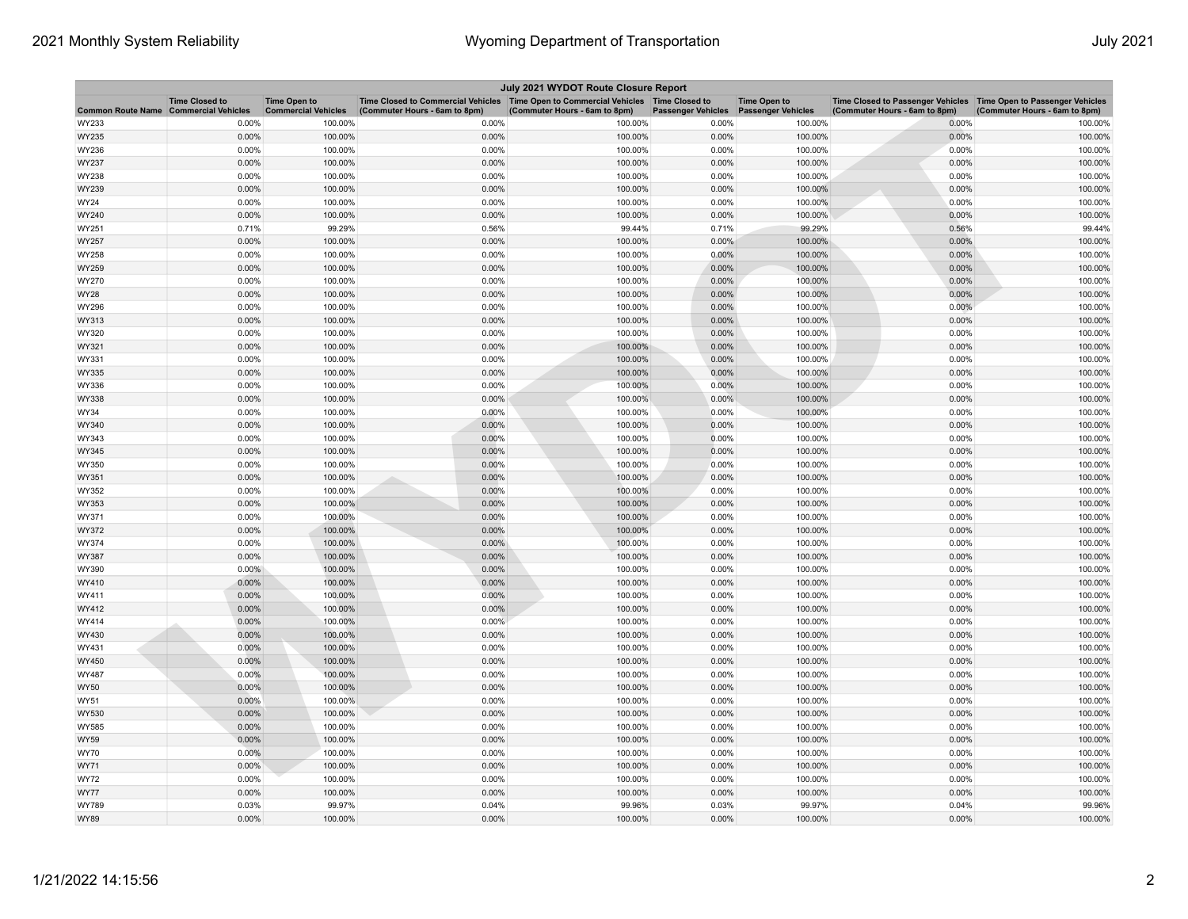| Time Closed to Commercial Vehicles   Time Open to Commercial Vehicles   Time Closed to<br><b>Time Closed to</b><br>Time Closed to Passenger Vehicles   Time Open to Passenger Vehicles<br><b>Time Open to</b><br><b>Time Open to</b><br><b>Commercial Vehicles</b><br><b>Commercial Vehicles</b><br><b>Passenger Vehicles</b><br><b>Passenger Vehicles</b><br>(Commuter Hours - 6am to 8pm)<br><b>Common Route Name</b><br>(Commuter Hours - 6am to 8pm)<br>(Commuter Hours - 6am to 8pm)<br>(Commuter Hours - 6am to 8pm)<br>0.00%<br>WY233<br>0.00%<br>100.00%<br>0.00%<br>100.00%<br>100.00%<br>0.00%<br>100.00%<br>0.00%<br>100.00%<br>0.00%<br>100.00%<br>0.00%<br>100.00%<br>0.00%<br>100.00%<br>WY235<br>0.00%<br>0.00%<br>100.00%<br>WY236<br>100.00%<br>0.00%<br>100.00%<br>0.00%<br>100.00%<br>0.00%<br>100.00%<br>0.00%<br>100.00%<br>0.00%<br>100.00%<br>0.00%<br>100.00%<br>WY237<br>WY238<br>0.00%<br>100.00%<br>0.00%<br>100.00%<br>0.00%<br>100.00%<br>0.00%<br>100.00%<br>0.00%<br>100.00%<br>0.00%<br>100.00%<br>0.00%<br>100.00%<br>0.00%<br>100.00%<br>WY239<br>0.00%<br>0.00%<br>WY24<br>100.00%<br>0.00%<br>100.00%<br>100.00%<br>0.00%<br>100.00%<br>0.00%<br>100.00%<br>0.00%<br>100.00%<br>0.00%<br>100.00%<br>0.00%<br>100.00%<br>WY240<br>99.29%<br>99.44%<br>0.56%<br>99.44%<br>0.71%<br>0.56%<br>0.71%<br>99.29%<br>WY251<br>0.00%<br>100.00%<br>0.00%<br>0.00%<br>100.00%<br>0.00%<br>100.00%<br>WY257<br>100.00%<br>WY258<br>0.00%<br>100.00%<br>0.00%<br>100.00%<br>0.00%<br>100.00%<br>0.00%<br>100.00%<br>100.00%<br>0.00%<br>WY259<br>0.00%<br>100.00%<br>0.00%<br>100.00%<br>0.00%<br>100.00%<br>0.00%<br>100.00%<br>0.00%<br>0.00%<br>100.00%<br>0.00%<br>WY270<br>100.00%<br>100.00%<br>0.00%<br>100.00%<br>0.00%<br>0.00%<br>100.00%<br>0.00%<br>100.00%<br>100.00%<br>WY28<br>0.00%<br>100.00%<br>0.00%<br>100.00%<br>0.00%<br>100.00%<br>0.00%<br>100.00%<br>WY296<br>0.00%<br>100.00%<br>0.00%<br>0.00%<br>0.00%<br>WY313<br>100.00%<br>100.00%<br>100.00%<br>0.00%<br>100.00%<br>0.00%<br>100.00%<br>0.00%<br>100.00%<br>0.00%<br>100.00%<br>WY320<br>0.00%<br>100.00%<br>0.00%<br>100.00%<br>0.00%<br>100.00%<br>0.00%<br>100.00%<br>WY321<br>0.00%<br>100.00%<br>0.00%<br>100.00%<br>0.00%<br>100.00%<br>0.00%<br>100.00%<br>WY331<br>0.00%<br>WY335<br>0.00%<br>100.00%<br>0.00%<br>100.00%<br>100.00%<br>0.00%<br>100.00%<br>0.00%<br>100.00%<br>0.00%<br>0.00%<br>100.00%<br>0.00%<br>100.00%<br>WY336<br>100.00%<br>0.00%<br>100.00%<br>0.00%<br>100.00%<br>0.00%<br>100.00%<br>0.00%<br>100.00%<br>WY338<br>0.00%<br>100.00%<br>0.00%<br>100.00%<br>0.00%<br>100.00%<br>0.00%<br>100.00%<br>WY34<br>WY340<br>0.00%<br>100.00%<br>0.00%<br>100.00%<br>0.00%<br>100.00%<br>0.00%<br>100.00%<br>0.00%<br>100.00%<br>0.00%<br>100.00%<br>0.00%<br>WY343<br>0.00%<br>100.00%<br>100.00%<br>0.00%<br>100.00%<br>0.00%<br>100.00%<br>0.00%<br>100.00%<br>WY345<br>0.00%<br>100.00%<br>0.00%<br>100.00%<br>0.00%<br>100.00%<br>0.00%<br>100.00%<br>0.00%<br>100.00%<br>WY350<br>0.00%<br>100.00%<br>0.00%<br>100.00%<br>0.00%<br>100.00%<br>WY351<br>0.00%<br>100.00%<br>0.00%<br>WY352<br>0.00%<br>100.00%<br>0.00%<br>100.00%<br>100.00%<br>0.00%<br>100.00%<br>0.00%<br>0.00%<br>100.00%<br>100.00%<br>WY353<br>100.00%<br>0.00%<br>100.00%<br>0.00%<br>0.00%<br>100.00%<br>0.00%<br>100.00%<br>0.00%<br>100.00%<br>0.00%<br>100.00%<br>WY371<br>0.00%<br>100.00%<br>0.00%<br>100.00%<br>0.00%<br>100.00%<br>0.00%<br>100.00%<br>WY372<br>0.00%<br>0.00%<br>100.00%<br>0.00%<br>100.00%<br>100.00%<br>0.00%<br>100.00%<br>WY374<br>0.00%<br>100.00%<br>100.00%<br>0.00%<br>100.00%<br>0.00%<br>100.00%<br>WY387<br>0.00%<br>WY390<br>$0.00\%$<br>100.00%<br>0.00%<br>100.00%<br>0.00%<br>100.00%<br>0.00%<br>100.00%<br>0.00%<br>100.00%<br>0.00%<br>100.00%<br>0.00%<br>100.00%<br>0.00%<br>100.00%<br>WY410<br>0.00%<br>100.00%<br>0.00%<br>0.00%<br>0.00%<br>100.00%<br>100.00%<br>100.00%<br>WY411<br>0.00%<br>100.00%<br>0.00%<br>100.00%<br>0.00%<br>100.00%<br>0.00%<br>100.00%<br>WY412<br>0.00%<br>0.00%<br>WY414<br>100.00%<br>0.00%<br>100.00%<br>100.00%<br>0.00%<br>100.00%<br>0.00%<br>100.00%<br>0.00%<br>100.00%<br>0.00%<br>100.00%<br>0.00%<br>100.00%<br>WY430<br>0.00%<br>0.00%<br>0.00%<br>100.00%<br>0.00%<br>100.00%<br>100.00%<br>100.00%<br>WY431<br>0.00%<br>100.00%<br>0.00%<br>100.00%<br>0.00%<br>100.00%<br>0.00%<br>100.00%<br>WY450<br>WY487<br>0.00%<br>100.00%<br>0.00%<br>100.00%<br>0.00%<br>100.00%<br>0.00%<br>100.00%<br>0.00%<br>100.00%<br>0.00%<br>100.00%<br>0.00%<br>100.00%<br>0.00%<br>100.00%<br>WY50<br>0.00%<br>100.00%<br>WY51<br>0.00%<br>100.00%<br>0.00%<br>100.00%<br>0.00%<br>100.00%<br>0.00%<br>100.00%<br>0.00%<br>100.00%<br>0.00%<br>100.00%<br>0.00%<br>100.00%<br>WY530<br>WY585<br>0.00%<br>100.00%<br>0.00%<br>100.00%<br>0.00%<br>100.00%<br>0.00%<br>100.00%<br>0.00%<br>100.00%<br>0.00%<br>100.00%<br>0.00%<br>100.00%<br>0.00%<br>100.00%<br>WY59<br>0.00%<br><b>WY70</b><br>100.00%<br>0.00%<br>100.00%<br>0.00%<br>100.00%<br>0.00%<br>100.00%<br>$0.00\%$<br>100.00%<br>0.00%<br>100.00%<br>0.00%<br>100.00%<br>0.00%<br>100.00%<br>WY71<br><b>WY72</b><br>0.00%<br>100.00%<br>0.00%<br>100.00%<br>0.00%<br>100.00%<br>0.00%<br>100.00%<br>0.00%<br>100.00%<br>0.00%<br>100.00%<br>0.00%<br>100.00%<br>0.00%<br>WY77<br>100.00%<br>0.04%<br>WY789<br>0.03%<br>99.97%<br>0.04%<br>99.96%<br>0.03%<br>99.97%<br>99.96%<br><b>WY89</b><br>0.00%<br>100.00%<br>0.00%<br>100.00%<br>0.00%<br>100.00%<br>0.00%<br>100.00% | July 2021 WYDOT Route Closure Report |  |  |  |  |  |  |  |  |  |
|------------------------------------------------------------------------------------------------------------------------------------------------------------------------------------------------------------------------------------------------------------------------------------------------------------------------------------------------------------------------------------------------------------------------------------------------------------------------------------------------------------------------------------------------------------------------------------------------------------------------------------------------------------------------------------------------------------------------------------------------------------------------------------------------------------------------------------------------------------------------------------------------------------------------------------------------------------------------------------------------------------------------------------------------------------------------------------------------------------------------------------------------------------------------------------------------------------------------------------------------------------------------------------------------------------------------------------------------------------------------------------------------------------------------------------------------------------------------------------------------------------------------------------------------------------------------------------------------------------------------------------------------------------------------------------------------------------------------------------------------------------------------------------------------------------------------------------------------------------------------------------------------------------------------------------------------------------------------------------------------------------------------------------------------------------------------------------------------------------------------------------------------------------------------------------------------------------------------------------------------------------------------------------------------------------------------------------------------------------------------------------------------------------------------------------------------------------------------------------------------------------------------------------------------------------------------------------------------------------------------------------------------------------------------------------------------------------------------------------------------------------------------------------------------------------------------------------------------------------------------------------------------------------------------------------------------------------------------------------------------------------------------------------------------------------------------------------------------------------------------------------------------------------------------------------------------------------------------------------------------------------------------------------------------------------------------------------------------------------------------------------------------------------------------------------------------------------------------------------------------------------------------------------------------------------------------------------------------------------------------------------------------------------------------------------------------------------------------------------------------------------------------------------------------------------------------------------------------------------------------------------------------------------------------------------------------------------------------------------------------------------------------------------------------------------------------------------------------------------------------------------------------------------------------------------------------------------------------------------------------------------------------------------------------------------------------------------------------------------------------------------------------------------------------------------------------------------------------------------------------------------------------------------------------------------------------------------------------------------------------------------------------------------------------------------------------------------------------------------------------------------------------------------------------------------------------------------------------------------------------------------------------------------------------------------------------------------------------------------------------------------------------------------------------------------------------------------------------------------------------------------------------------------------------------------------------------------------------------------------------------------------------------------------------------------------------------------------------------------------------------------------------------------------------------------------------------------------------------------------------------------------------------------------|--------------------------------------|--|--|--|--|--|--|--|--|--|
|                                                                                                                                                                                                                                                                                                                                                                                                                                                                                                                                                                                                                                                                                                                                                                                                                                                                                                                                                                                                                                                                                                                                                                                                                                                                                                                                                                                                                                                                                                                                                                                                                                                                                                                                                                                                                                                                                                                                                                                                                                                                                                                                                                                                                                                                                                                                                                                                                                                                                                                                                                                                                                                                                                                                                                                                                                                                                                                                                                                                                                                                                                                                                                                                                                                                                                                                                                                                                                                                                                                                                                                                                                                                                                                                                                                                                                                                                                                                                                                                                                                                                                                                                                                                                                                                                                                                                                                                                                                                                                                                                                                                                                                                                                                                                                                                                                                                                                                                                                                                                                                                                                                                                                                                                                                                                                                                                                                                                                                                                                                                          |                                      |  |  |  |  |  |  |  |  |  |
|                                                                                                                                                                                                                                                                                                                                                                                                                                                                                                                                                                                                                                                                                                                                                                                                                                                                                                                                                                                                                                                                                                                                                                                                                                                                                                                                                                                                                                                                                                                                                                                                                                                                                                                                                                                                                                                                                                                                                                                                                                                                                                                                                                                                                                                                                                                                                                                                                                                                                                                                                                                                                                                                                                                                                                                                                                                                                                                                                                                                                                                                                                                                                                                                                                                                                                                                                                                                                                                                                                                                                                                                                                                                                                                                                                                                                                                                                                                                                                                                                                                                                                                                                                                                                                                                                                                                                                                                                                                                                                                                                                                                                                                                                                                                                                                                                                                                                                                                                                                                                                                                                                                                                                                                                                                                                                                                                                                                                                                                                                                                          |                                      |  |  |  |  |  |  |  |  |  |
|                                                                                                                                                                                                                                                                                                                                                                                                                                                                                                                                                                                                                                                                                                                                                                                                                                                                                                                                                                                                                                                                                                                                                                                                                                                                                                                                                                                                                                                                                                                                                                                                                                                                                                                                                                                                                                                                                                                                                                                                                                                                                                                                                                                                                                                                                                                                                                                                                                                                                                                                                                                                                                                                                                                                                                                                                                                                                                                                                                                                                                                                                                                                                                                                                                                                                                                                                                                                                                                                                                                                                                                                                                                                                                                                                                                                                                                                                                                                                                                                                                                                                                                                                                                                                                                                                                                                                                                                                                                                                                                                                                                                                                                                                                                                                                                                                                                                                                                                                                                                                                                                                                                                                                                                                                                                                                                                                                                                                                                                                                                                          |                                      |  |  |  |  |  |  |  |  |  |
|                                                                                                                                                                                                                                                                                                                                                                                                                                                                                                                                                                                                                                                                                                                                                                                                                                                                                                                                                                                                                                                                                                                                                                                                                                                                                                                                                                                                                                                                                                                                                                                                                                                                                                                                                                                                                                                                                                                                                                                                                                                                                                                                                                                                                                                                                                                                                                                                                                                                                                                                                                                                                                                                                                                                                                                                                                                                                                                                                                                                                                                                                                                                                                                                                                                                                                                                                                                                                                                                                                                                                                                                                                                                                                                                                                                                                                                                                                                                                                                                                                                                                                                                                                                                                                                                                                                                                                                                                                                                                                                                                                                                                                                                                                                                                                                                                                                                                                                                                                                                                                                                                                                                                                                                                                                                                                                                                                                                                                                                                                                                          |                                      |  |  |  |  |  |  |  |  |  |
|                                                                                                                                                                                                                                                                                                                                                                                                                                                                                                                                                                                                                                                                                                                                                                                                                                                                                                                                                                                                                                                                                                                                                                                                                                                                                                                                                                                                                                                                                                                                                                                                                                                                                                                                                                                                                                                                                                                                                                                                                                                                                                                                                                                                                                                                                                                                                                                                                                                                                                                                                                                                                                                                                                                                                                                                                                                                                                                                                                                                                                                                                                                                                                                                                                                                                                                                                                                                                                                                                                                                                                                                                                                                                                                                                                                                                                                                                                                                                                                                                                                                                                                                                                                                                                                                                                                                                                                                                                                                                                                                                                                                                                                                                                                                                                                                                                                                                                                                                                                                                                                                                                                                                                                                                                                                                                                                                                                                                                                                                                                                          |                                      |  |  |  |  |  |  |  |  |  |
|                                                                                                                                                                                                                                                                                                                                                                                                                                                                                                                                                                                                                                                                                                                                                                                                                                                                                                                                                                                                                                                                                                                                                                                                                                                                                                                                                                                                                                                                                                                                                                                                                                                                                                                                                                                                                                                                                                                                                                                                                                                                                                                                                                                                                                                                                                                                                                                                                                                                                                                                                                                                                                                                                                                                                                                                                                                                                                                                                                                                                                                                                                                                                                                                                                                                                                                                                                                                                                                                                                                                                                                                                                                                                                                                                                                                                                                                                                                                                                                                                                                                                                                                                                                                                                                                                                                                                                                                                                                                                                                                                                                                                                                                                                                                                                                                                                                                                                                                                                                                                                                                                                                                                                                                                                                                                                                                                                                                                                                                                                                                          |                                      |  |  |  |  |  |  |  |  |  |
|                                                                                                                                                                                                                                                                                                                                                                                                                                                                                                                                                                                                                                                                                                                                                                                                                                                                                                                                                                                                                                                                                                                                                                                                                                                                                                                                                                                                                                                                                                                                                                                                                                                                                                                                                                                                                                                                                                                                                                                                                                                                                                                                                                                                                                                                                                                                                                                                                                                                                                                                                                                                                                                                                                                                                                                                                                                                                                                                                                                                                                                                                                                                                                                                                                                                                                                                                                                                                                                                                                                                                                                                                                                                                                                                                                                                                                                                                                                                                                                                                                                                                                                                                                                                                                                                                                                                                                                                                                                                                                                                                                                                                                                                                                                                                                                                                                                                                                                                                                                                                                                                                                                                                                                                                                                                                                                                                                                                                                                                                                                                          |                                      |  |  |  |  |  |  |  |  |  |
|                                                                                                                                                                                                                                                                                                                                                                                                                                                                                                                                                                                                                                                                                                                                                                                                                                                                                                                                                                                                                                                                                                                                                                                                                                                                                                                                                                                                                                                                                                                                                                                                                                                                                                                                                                                                                                                                                                                                                                                                                                                                                                                                                                                                                                                                                                                                                                                                                                                                                                                                                                                                                                                                                                                                                                                                                                                                                                                                                                                                                                                                                                                                                                                                                                                                                                                                                                                                                                                                                                                                                                                                                                                                                                                                                                                                                                                                                                                                                                                                                                                                                                                                                                                                                                                                                                                                                                                                                                                                                                                                                                                                                                                                                                                                                                                                                                                                                                                                                                                                                                                                                                                                                                                                                                                                                                                                                                                                                                                                                                                                          |                                      |  |  |  |  |  |  |  |  |  |
|                                                                                                                                                                                                                                                                                                                                                                                                                                                                                                                                                                                                                                                                                                                                                                                                                                                                                                                                                                                                                                                                                                                                                                                                                                                                                                                                                                                                                                                                                                                                                                                                                                                                                                                                                                                                                                                                                                                                                                                                                                                                                                                                                                                                                                                                                                                                                                                                                                                                                                                                                                                                                                                                                                                                                                                                                                                                                                                                                                                                                                                                                                                                                                                                                                                                                                                                                                                                                                                                                                                                                                                                                                                                                                                                                                                                                                                                                                                                                                                                                                                                                                                                                                                                                                                                                                                                                                                                                                                                                                                                                                                                                                                                                                                                                                                                                                                                                                                                                                                                                                                                                                                                                                                                                                                                                                                                                                                                                                                                                                                                          |                                      |  |  |  |  |  |  |  |  |  |
|                                                                                                                                                                                                                                                                                                                                                                                                                                                                                                                                                                                                                                                                                                                                                                                                                                                                                                                                                                                                                                                                                                                                                                                                                                                                                                                                                                                                                                                                                                                                                                                                                                                                                                                                                                                                                                                                                                                                                                                                                                                                                                                                                                                                                                                                                                                                                                                                                                                                                                                                                                                                                                                                                                                                                                                                                                                                                                                                                                                                                                                                                                                                                                                                                                                                                                                                                                                                                                                                                                                                                                                                                                                                                                                                                                                                                                                                                                                                                                                                                                                                                                                                                                                                                                                                                                                                                                                                                                                                                                                                                                                                                                                                                                                                                                                                                                                                                                                                                                                                                                                                                                                                                                                                                                                                                                                                                                                                                                                                                                                                          |                                      |  |  |  |  |  |  |  |  |  |
|                                                                                                                                                                                                                                                                                                                                                                                                                                                                                                                                                                                                                                                                                                                                                                                                                                                                                                                                                                                                                                                                                                                                                                                                                                                                                                                                                                                                                                                                                                                                                                                                                                                                                                                                                                                                                                                                                                                                                                                                                                                                                                                                                                                                                                                                                                                                                                                                                                                                                                                                                                                                                                                                                                                                                                                                                                                                                                                                                                                                                                                                                                                                                                                                                                                                                                                                                                                                                                                                                                                                                                                                                                                                                                                                                                                                                                                                                                                                                                                                                                                                                                                                                                                                                                                                                                                                                                                                                                                                                                                                                                                                                                                                                                                                                                                                                                                                                                                                                                                                                                                                                                                                                                                                                                                                                                                                                                                                                                                                                                                                          |                                      |  |  |  |  |  |  |  |  |  |
|                                                                                                                                                                                                                                                                                                                                                                                                                                                                                                                                                                                                                                                                                                                                                                                                                                                                                                                                                                                                                                                                                                                                                                                                                                                                                                                                                                                                                                                                                                                                                                                                                                                                                                                                                                                                                                                                                                                                                                                                                                                                                                                                                                                                                                                                                                                                                                                                                                                                                                                                                                                                                                                                                                                                                                                                                                                                                                                                                                                                                                                                                                                                                                                                                                                                                                                                                                                                                                                                                                                                                                                                                                                                                                                                                                                                                                                                                                                                                                                                                                                                                                                                                                                                                                                                                                                                                                                                                                                                                                                                                                                                                                                                                                                                                                                                                                                                                                                                                                                                                                                                                                                                                                                                                                                                                                                                                                                                                                                                                                                                          |                                      |  |  |  |  |  |  |  |  |  |
|                                                                                                                                                                                                                                                                                                                                                                                                                                                                                                                                                                                                                                                                                                                                                                                                                                                                                                                                                                                                                                                                                                                                                                                                                                                                                                                                                                                                                                                                                                                                                                                                                                                                                                                                                                                                                                                                                                                                                                                                                                                                                                                                                                                                                                                                                                                                                                                                                                                                                                                                                                                                                                                                                                                                                                                                                                                                                                                                                                                                                                                                                                                                                                                                                                                                                                                                                                                                                                                                                                                                                                                                                                                                                                                                                                                                                                                                                                                                                                                                                                                                                                                                                                                                                                                                                                                                                                                                                                                                                                                                                                                                                                                                                                                                                                                                                                                                                                                                                                                                                                                                                                                                                                                                                                                                                                                                                                                                                                                                                                                                          |                                      |  |  |  |  |  |  |  |  |  |
|                                                                                                                                                                                                                                                                                                                                                                                                                                                                                                                                                                                                                                                                                                                                                                                                                                                                                                                                                                                                                                                                                                                                                                                                                                                                                                                                                                                                                                                                                                                                                                                                                                                                                                                                                                                                                                                                                                                                                                                                                                                                                                                                                                                                                                                                                                                                                                                                                                                                                                                                                                                                                                                                                                                                                                                                                                                                                                                                                                                                                                                                                                                                                                                                                                                                                                                                                                                                                                                                                                                                                                                                                                                                                                                                                                                                                                                                                                                                                                                                                                                                                                                                                                                                                                                                                                                                                                                                                                                                                                                                                                                                                                                                                                                                                                                                                                                                                                                                                                                                                                                                                                                                                                                                                                                                                                                                                                                                                                                                                                                                          |                                      |  |  |  |  |  |  |  |  |  |
|                                                                                                                                                                                                                                                                                                                                                                                                                                                                                                                                                                                                                                                                                                                                                                                                                                                                                                                                                                                                                                                                                                                                                                                                                                                                                                                                                                                                                                                                                                                                                                                                                                                                                                                                                                                                                                                                                                                                                                                                                                                                                                                                                                                                                                                                                                                                                                                                                                                                                                                                                                                                                                                                                                                                                                                                                                                                                                                                                                                                                                                                                                                                                                                                                                                                                                                                                                                                                                                                                                                                                                                                                                                                                                                                                                                                                                                                                                                                                                                                                                                                                                                                                                                                                                                                                                                                                                                                                                                                                                                                                                                                                                                                                                                                                                                                                                                                                                                                                                                                                                                                                                                                                                                                                                                                                                                                                                                                                                                                                                                                          |                                      |  |  |  |  |  |  |  |  |  |
|                                                                                                                                                                                                                                                                                                                                                                                                                                                                                                                                                                                                                                                                                                                                                                                                                                                                                                                                                                                                                                                                                                                                                                                                                                                                                                                                                                                                                                                                                                                                                                                                                                                                                                                                                                                                                                                                                                                                                                                                                                                                                                                                                                                                                                                                                                                                                                                                                                                                                                                                                                                                                                                                                                                                                                                                                                                                                                                                                                                                                                                                                                                                                                                                                                                                                                                                                                                                                                                                                                                                                                                                                                                                                                                                                                                                                                                                                                                                                                                                                                                                                                                                                                                                                                                                                                                                                                                                                                                                                                                                                                                                                                                                                                                                                                                                                                                                                                                                                                                                                                                                                                                                                                                                                                                                                                                                                                                                                                                                                                                                          |                                      |  |  |  |  |  |  |  |  |  |
|                                                                                                                                                                                                                                                                                                                                                                                                                                                                                                                                                                                                                                                                                                                                                                                                                                                                                                                                                                                                                                                                                                                                                                                                                                                                                                                                                                                                                                                                                                                                                                                                                                                                                                                                                                                                                                                                                                                                                                                                                                                                                                                                                                                                                                                                                                                                                                                                                                                                                                                                                                                                                                                                                                                                                                                                                                                                                                                                                                                                                                                                                                                                                                                                                                                                                                                                                                                                                                                                                                                                                                                                                                                                                                                                                                                                                                                                                                                                                                                                                                                                                                                                                                                                                                                                                                                                                                                                                                                                                                                                                                                                                                                                                                                                                                                                                                                                                                                                                                                                                                                                                                                                                                                                                                                                                                                                                                                                                                                                                                                                          |                                      |  |  |  |  |  |  |  |  |  |
|                                                                                                                                                                                                                                                                                                                                                                                                                                                                                                                                                                                                                                                                                                                                                                                                                                                                                                                                                                                                                                                                                                                                                                                                                                                                                                                                                                                                                                                                                                                                                                                                                                                                                                                                                                                                                                                                                                                                                                                                                                                                                                                                                                                                                                                                                                                                                                                                                                                                                                                                                                                                                                                                                                                                                                                                                                                                                                                                                                                                                                                                                                                                                                                                                                                                                                                                                                                                                                                                                                                                                                                                                                                                                                                                                                                                                                                                                                                                                                                                                                                                                                                                                                                                                                                                                                                                                                                                                                                                                                                                                                                                                                                                                                                                                                                                                                                                                                                                                                                                                                                                                                                                                                                                                                                                                                                                                                                                                                                                                                                                          |                                      |  |  |  |  |  |  |  |  |  |
|                                                                                                                                                                                                                                                                                                                                                                                                                                                                                                                                                                                                                                                                                                                                                                                                                                                                                                                                                                                                                                                                                                                                                                                                                                                                                                                                                                                                                                                                                                                                                                                                                                                                                                                                                                                                                                                                                                                                                                                                                                                                                                                                                                                                                                                                                                                                                                                                                                                                                                                                                                                                                                                                                                                                                                                                                                                                                                                                                                                                                                                                                                                                                                                                                                                                                                                                                                                                                                                                                                                                                                                                                                                                                                                                                                                                                                                                                                                                                                                                                                                                                                                                                                                                                                                                                                                                                                                                                                                                                                                                                                                                                                                                                                                                                                                                                                                                                                                                                                                                                                                                                                                                                                                                                                                                                                                                                                                                                                                                                                                                          |                                      |  |  |  |  |  |  |  |  |  |
|                                                                                                                                                                                                                                                                                                                                                                                                                                                                                                                                                                                                                                                                                                                                                                                                                                                                                                                                                                                                                                                                                                                                                                                                                                                                                                                                                                                                                                                                                                                                                                                                                                                                                                                                                                                                                                                                                                                                                                                                                                                                                                                                                                                                                                                                                                                                                                                                                                                                                                                                                                                                                                                                                                                                                                                                                                                                                                                                                                                                                                                                                                                                                                                                                                                                                                                                                                                                                                                                                                                                                                                                                                                                                                                                                                                                                                                                                                                                                                                                                                                                                                                                                                                                                                                                                                                                                                                                                                                                                                                                                                                                                                                                                                                                                                                                                                                                                                                                                                                                                                                                                                                                                                                                                                                                                                                                                                                                                                                                                                                                          |                                      |  |  |  |  |  |  |  |  |  |
|                                                                                                                                                                                                                                                                                                                                                                                                                                                                                                                                                                                                                                                                                                                                                                                                                                                                                                                                                                                                                                                                                                                                                                                                                                                                                                                                                                                                                                                                                                                                                                                                                                                                                                                                                                                                                                                                                                                                                                                                                                                                                                                                                                                                                                                                                                                                                                                                                                                                                                                                                                                                                                                                                                                                                                                                                                                                                                                                                                                                                                                                                                                                                                                                                                                                                                                                                                                                                                                                                                                                                                                                                                                                                                                                                                                                                                                                                                                                                                                                                                                                                                                                                                                                                                                                                                                                                                                                                                                                                                                                                                                                                                                                                                                                                                                                                                                                                                                                                                                                                                                                                                                                                                                                                                                                                                                                                                                                                                                                                                                                          |                                      |  |  |  |  |  |  |  |  |  |
|                                                                                                                                                                                                                                                                                                                                                                                                                                                                                                                                                                                                                                                                                                                                                                                                                                                                                                                                                                                                                                                                                                                                                                                                                                                                                                                                                                                                                                                                                                                                                                                                                                                                                                                                                                                                                                                                                                                                                                                                                                                                                                                                                                                                                                                                                                                                                                                                                                                                                                                                                                                                                                                                                                                                                                                                                                                                                                                                                                                                                                                                                                                                                                                                                                                                                                                                                                                                                                                                                                                                                                                                                                                                                                                                                                                                                                                                                                                                                                                                                                                                                                                                                                                                                                                                                                                                                                                                                                                                                                                                                                                                                                                                                                                                                                                                                                                                                                                                                                                                                                                                                                                                                                                                                                                                                                                                                                                                                                                                                                                                          |                                      |  |  |  |  |  |  |  |  |  |
|                                                                                                                                                                                                                                                                                                                                                                                                                                                                                                                                                                                                                                                                                                                                                                                                                                                                                                                                                                                                                                                                                                                                                                                                                                                                                                                                                                                                                                                                                                                                                                                                                                                                                                                                                                                                                                                                                                                                                                                                                                                                                                                                                                                                                                                                                                                                                                                                                                                                                                                                                                                                                                                                                                                                                                                                                                                                                                                                                                                                                                                                                                                                                                                                                                                                                                                                                                                                                                                                                                                                                                                                                                                                                                                                                                                                                                                                                                                                                                                                                                                                                                                                                                                                                                                                                                                                                                                                                                                                                                                                                                                                                                                                                                                                                                                                                                                                                                                                                                                                                                                                                                                                                                                                                                                                                                                                                                                                                                                                                                                                          |                                      |  |  |  |  |  |  |  |  |  |
|                                                                                                                                                                                                                                                                                                                                                                                                                                                                                                                                                                                                                                                                                                                                                                                                                                                                                                                                                                                                                                                                                                                                                                                                                                                                                                                                                                                                                                                                                                                                                                                                                                                                                                                                                                                                                                                                                                                                                                                                                                                                                                                                                                                                                                                                                                                                                                                                                                                                                                                                                                                                                                                                                                                                                                                                                                                                                                                                                                                                                                                                                                                                                                                                                                                                                                                                                                                                                                                                                                                                                                                                                                                                                                                                                                                                                                                                                                                                                                                                                                                                                                                                                                                                                                                                                                                                                                                                                                                                                                                                                                                                                                                                                                                                                                                                                                                                                                                                                                                                                                                                                                                                                                                                                                                                                                                                                                                                                                                                                                                                          |                                      |  |  |  |  |  |  |  |  |  |
|                                                                                                                                                                                                                                                                                                                                                                                                                                                                                                                                                                                                                                                                                                                                                                                                                                                                                                                                                                                                                                                                                                                                                                                                                                                                                                                                                                                                                                                                                                                                                                                                                                                                                                                                                                                                                                                                                                                                                                                                                                                                                                                                                                                                                                                                                                                                                                                                                                                                                                                                                                                                                                                                                                                                                                                                                                                                                                                                                                                                                                                                                                                                                                                                                                                                                                                                                                                                                                                                                                                                                                                                                                                                                                                                                                                                                                                                                                                                                                                                                                                                                                                                                                                                                                                                                                                                                                                                                                                                                                                                                                                                                                                                                                                                                                                                                                                                                                                                                                                                                                                                                                                                                                                                                                                                                                                                                                                                                                                                                                                                          |                                      |  |  |  |  |  |  |  |  |  |
|                                                                                                                                                                                                                                                                                                                                                                                                                                                                                                                                                                                                                                                                                                                                                                                                                                                                                                                                                                                                                                                                                                                                                                                                                                                                                                                                                                                                                                                                                                                                                                                                                                                                                                                                                                                                                                                                                                                                                                                                                                                                                                                                                                                                                                                                                                                                                                                                                                                                                                                                                                                                                                                                                                                                                                                                                                                                                                                                                                                                                                                                                                                                                                                                                                                                                                                                                                                                                                                                                                                                                                                                                                                                                                                                                                                                                                                                                                                                                                                                                                                                                                                                                                                                                                                                                                                                                                                                                                                                                                                                                                                                                                                                                                                                                                                                                                                                                                                                                                                                                                                                                                                                                                                                                                                                                                                                                                                                                                                                                                                                          |                                      |  |  |  |  |  |  |  |  |  |
|                                                                                                                                                                                                                                                                                                                                                                                                                                                                                                                                                                                                                                                                                                                                                                                                                                                                                                                                                                                                                                                                                                                                                                                                                                                                                                                                                                                                                                                                                                                                                                                                                                                                                                                                                                                                                                                                                                                                                                                                                                                                                                                                                                                                                                                                                                                                                                                                                                                                                                                                                                                                                                                                                                                                                                                                                                                                                                                                                                                                                                                                                                                                                                                                                                                                                                                                                                                                                                                                                                                                                                                                                                                                                                                                                                                                                                                                                                                                                                                                                                                                                                                                                                                                                                                                                                                                                                                                                                                                                                                                                                                                                                                                                                                                                                                                                                                                                                                                                                                                                                                                                                                                                                                                                                                                                                                                                                                                                                                                                                                                          |                                      |  |  |  |  |  |  |  |  |  |
|                                                                                                                                                                                                                                                                                                                                                                                                                                                                                                                                                                                                                                                                                                                                                                                                                                                                                                                                                                                                                                                                                                                                                                                                                                                                                                                                                                                                                                                                                                                                                                                                                                                                                                                                                                                                                                                                                                                                                                                                                                                                                                                                                                                                                                                                                                                                                                                                                                                                                                                                                                                                                                                                                                                                                                                                                                                                                                                                                                                                                                                                                                                                                                                                                                                                                                                                                                                                                                                                                                                                                                                                                                                                                                                                                                                                                                                                                                                                                                                                                                                                                                                                                                                                                                                                                                                                                                                                                                                                                                                                                                                                                                                                                                                                                                                                                                                                                                                                                                                                                                                                                                                                                                                                                                                                                                                                                                                                                                                                                                                                          |                                      |  |  |  |  |  |  |  |  |  |
|                                                                                                                                                                                                                                                                                                                                                                                                                                                                                                                                                                                                                                                                                                                                                                                                                                                                                                                                                                                                                                                                                                                                                                                                                                                                                                                                                                                                                                                                                                                                                                                                                                                                                                                                                                                                                                                                                                                                                                                                                                                                                                                                                                                                                                                                                                                                                                                                                                                                                                                                                                                                                                                                                                                                                                                                                                                                                                                                                                                                                                                                                                                                                                                                                                                                                                                                                                                                                                                                                                                                                                                                                                                                                                                                                                                                                                                                                                                                                                                                                                                                                                                                                                                                                                                                                                                                                                                                                                                                                                                                                                                                                                                                                                                                                                                                                                                                                                                                                                                                                                                                                                                                                                                                                                                                                                                                                                                                                                                                                                                                          |                                      |  |  |  |  |  |  |  |  |  |
|                                                                                                                                                                                                                                                                                                                                                                                                                                                                                                                                                                                                                                                                                                                                                                                                                                                                                                                                                                                                                                                                                                                                                                                                                                                                                                                                                                                                                                                                                                                                                                                                                                                                                                                                                                                                                                                                                                                                                                                                                                                                                                                                                                                                                                                                                                                                                                                                                                                                                                                                                                                                                                                                                                                                                                                                                                                                                                                                                                                                                                                                                                                                                                                                                                                                                                                                                                                                                                                                                                                                                                                                                                                                                                                                                                                                                                                                                                                                                                                                                                                                                                                                                                                                                                                                                                                                                                                                                                                                                                                                                                                                                                                                                                                                                                                                                                                                                                                                                                                                                                                                                                                                                                                                                                                                                                                                                                                                                                                                                                                                          |                                      |  |  |  |  |  |  |  |  |  |
|                                                                                                                                                                                                                                                                                                                                                                                                                                                                                                                                                                                                                                                                                                                                                                                                                                                                                                                                                                                                                                                                                                                                                                                                                                                                                                                                                                                                                                                                                                                                                                                                                                                                                                                                                                                                                                                                                                                                                                                                                                                                                                                                                                                                                                                                                                                                                                                                                                                                                                                                                                                                                                                                                                                                                                                                                                                                                                                                                                                                                                                                                                                                                                                                                                                                                                                                                                                                                                                                                                                                                                                                                                                                                                                                                                                                                                                                                                                                                                                                                                                                                                                                                                                                                                                                                                                                                                                                                                                                                                                                                                                                                                                                                                                                                                                                                                                                                                                                                                                                                                                                                                                                                                                                                                                                                                                                                                                                                                                                                                                                          |                                      |  |  |  |  |  |  |  |  |  |
|                                                                                                                                                                                                                                                                                                                                                                                                                                                                                                                                                                                                                                                                                                                                                                                                                                                                                                                                                                                                                                                                                                                                                                                                                                                                                                                                                                                                                                                                                                                                                                                                                                                                                                                                                                                                                                                                                                                                                                                                                                                                                                                                                                                                                                                                                                                                                                                                                                                                                                                                                                                                                                                                                                                                                                                                                                                                                                                                                                                                                                                                                                                                                                                                                                                                                                                                                                                                                                                                                                                                                                                                                                                                                                                                                                                                                                                                                                                                                                                                                                                                                                                                                                                                                                                                                                                                                                                                                                                                                                                                                                                                                                                                                                                                                                                                                                                                                                                                                                                                                                                                                                                                                                                                                                                                                                                                                                                                                                                                                                                                          |                                      |  |  |  |  |  |  |  |  |  |
|                                                                                                                                                                                                                                                                                                                                                                                                                                                                                                                                                                                                                                                                                                                                                                                                                                                                                                                                                                                                                                                                                                                                                                                                                                                                                                                                                                                                                                                                                                                                                                                                                                                                                                                                                                                                                                                                                                                                                                                                                                                                                                                                                                                                                                                                                                                                                                                                                                                                                                                                                                                                                                                                                                                                                                                                                                                                                                                                                                                                                                                                                                                                                                                                                                                                                                                                                                                                                                                                                                                                                                                                                                                                                                                                                                                                                                                                                                                                                                                                                                                                                                                                                                                                                                                                                                                                                                                                                                                                                                                                                                                                                                                                                                                                                                                                                                                                                                                                                                                                                                                                                                                                                                                                                                                                                                                                                                                                                                                                                                                                          |                                      |  |  |  |  |  |  |  |  |  |
|                                                                                                                                                                                                                                                                                                                                                                                                                                                                                                                                                                                                                                                                                                                                                                                                                                                                                                                                                                                                                                                                                                                                                                                                                                                                                                                                                                                                                                                                                                                                                                                                                                                                                                                                                                                                                                                                                                                                                                                                                                                                                                                                                                                                                                                                                                                                                                                                                                                                                                                                                                                                                                                                                                                                                                                                                                                                                                                                                                                                                                                                                                                                                                                                                                                                                                                                                                                                                                                                                                                                                                                                                                                                                                                                                                                                                                                                                                                                                                                                                                                                                                                                                                                                                                                                                                                                                                                                                                                                                                                                                                                                                                                                                                                                                                                                                                                                                                                                                                                                                                                                                                                                                                                                                                                                                                                                                                                                                                                                                                                                          |                                      |  |  |  |  |  |  |  |  |  |
|                                                                                                                                                                                                                                                                                                                                                                                                                                                                                                                                                                                                                                                                                                                                                                                                                                                                                                                                                                                                                                                                                                                                                                                                                                                                                                                                                                                                                                                                                                                                                                                                                                                                                                                                                                                                                                                                                                                                                                                                                                                                                                                                                                                                                                                                                                                                                                                                                                                                                                                                                                                                                                                                                                                                                                                                                                                                                                                                                                                                                                                                                                                                                                                                                                                                                                                                                                                                                                                                                                                                                                                                                                                                                                                                                                                                                                                                                                                                                                                                                                                                                                                                                                                                                                                                                                                                                                                                                                                                                                                                                                                                                                                                                                                                                                                                                                                                                                                                                                                                                                                                                                                                                                                                                                                                                                                                                                                                                                                                                                                                          |                                      |  |  |  |  |  |  |  |  |  |
|                                                                                                                                                                                                                                                                                                                                                                                                                                                                                                                                                                                                                                                                                                                                                                                                                                                                                                                                                                                                                                                                                                                                                                                                                                                                                                                                                                                                                                                                                                                                                                                                                                                                                                                                                                                                                                                                                                                                                                                                                                                                                                                                                                                                                                                                                                                                                                                                                                                                                                                                                                                                                                                                                                                                                                                                                                                                                                                                                                                                                                                                                                                                                                                                                                                                                                                                                                                                                                                                                                                                                                                                                                                                                                                                                                                                                                                                                                                                                                                                                                                                                                                                                                                                                                                                                                                                                                                                                                                                                                                                                                                                                                                                                                                                                                                                                                                                                                                                                                                                                                                                                                                                                                                                                                                                                                                                                                                                                                                                                                                                          |                                      |  |  |  |  |  |  |  |  |  |
|                                                                                                                                                                                                                                                                                                                                                                                                                                                                                                                                                                                                                                                                                                                                                                                                                                                                                                                                                                                                                                                                                                                                                                                                                                                                                                                                                                                                                                                                                                                                                                                                                                                                                                                                                                                                                                                                                                                                                                                                                                                                                                                                                                                                                                                                                                                                                                                                                                                                                                                                                                                                                                                                                                                                                                                                                                                                                                                                                                                                                                                                                                                                                                                                                                                                                                                                                                                                                                                                                                                                                                                                                                                                                                                                                                                                                                                                                                                                                                                                                                                                                                                                                                                                                                                                                                                                                                                                                                                                                                                                                                                                                                                                                                                                                                                                                                                                                                                                                                                                                                                                                                                                                                                                                                                                                                                                                                                                                                                                                                                                          |                                      |  |  |  |  |  |  |  |  |  |
|                                                                                                                                                                                                                                                                                                                                                                                                                                                                                                                                                                                                                                                                                                                                                                                                                                                                                                                                                                                                                                                                                                                                                                                                                                                                                                                                                                                                                                                                                                                                                                                                                                                                                                                                                                                                                                                                                                                                                                                                                                                                                                                                                                                                                                                                                                                                                                                                                                                                                                                                                                                                                                                                                                                                                                                                                                                                                                                                                                                                                                                                                                                                                                                                                                                                                                                                                                                                                                                                                                                                                                                                                                                                                                                                                                                                                                                                                                                                                                                                                                                                                                                                                                                                                                                                                                                                                                                                                                                                                                                                                                                                                                                                                                                                                                                                                                                                                                                                                                                                                                                                                                                                                                                                                                                                                                                                                                                                                                                                                                                                          |                                      |  |  |  |  |  |  |  |  |  |
|                                                                                                                                                                                                                                                                                                                                                                                                                                                                                                                                                                                                                                                                                                                                                                                                                                                                                                                                                                                                                                                                                                                                                                                                                                                                                                                                                                                                                                                                                                                                                                                                                                                                                                                                                                                                                                                                                                                                                                                                                                                                                                                                                                                                                                                                                                                                                                                                                                                                                                                                                                                                                                                                                                                                                                                                                                                                                                                                                                                                                                                                                                                                                                                                                                                                                                                                                                                                                                                                                                                                                                                                                                                                                                                                                                                                                                                                                                                                                                                                                                                                                                                                                                                                                                                                                                                                                                                                                                                                                                                                                                                                                                                                                                                                                                                                                                                                                                                                                                                                                                                                                                                                                                                                                                                                                                                                                                                                                                                                                                                                          |                                      |  |  |  |  |  |  |  |  |  |
|                                                                                                                                                                                                                                                                                                                                                                                                                                                                                                                                                                                                                                                                                                                                                                                                                                                                                                                                                                                                                                                                                                                                                                                                                                                                                                                                                                                                                                                                                                                                                                                                                                                                                                                                                                                                                                                                                                                                                                                                                                                                                                                                                                                                                                                                                                                                                                                                                                                                                                                                                                                                                                                                                                                                                                                                                                                                                                                                                                                                                                                                                                                                                                                                                                                                                                                                                                                                                                                                                                                                                                                                                                                                                                                                                                                                                                                                                                                                                                                                                                                                                                                                                                                                                                                                                                                                                                                                                                                                                                                                                                                                                                                                                                                                                                                                                                                                                                                                                                                                                                                                                                                                                                                                                                                                                                                                                                                                                                                                                                                                          |                                      |  |  |  |  |  |  |  |  |  |
|                                                                                                                                                                                                                                                                                                                                                                                                                                                                                                                                                                                                                                                                                                                                                                                                                                                                                                                                                                                                                                                                                                                                                                                                                                                                                                                                                                                                                                                                                                                                                                                                                                                                                                                                                                                                                                                                                                                                                                                                                                                                                                                                                                                                                                                                                                                                                                                                                                                                                                                                                                                                                                                                                                                                                                                                                                                                                                                                                                                                                                                                                                                                                                                                                                                                                                                                                                                                                                                                                                                                                                                                                                                                                                                                                                                                                                                                                                                                                                                                                                                                                                                                                                                                                                                                                                                                                                                                                                                                                                                                                                                                                                                                                                                                                                                                                                                                                                                                                                                                                                                                                                                                                                                                                                                                                                                                                                                                                                                                                                                                          |                                      |  |  |  |  |  |  |  |  |  |
|                                                                                                                                                                                                                                                                                                                                                                                                                                                                                                                                                                                                                                                                                                                                                                                                                                                                                                                                                                                                                                                                                                                                                                                                                                                                                                                                                                                                                                                                                                                                                                                                                                                                                                                                                                                                                                                                                                                                                                                                                                                                                                                                                                                                                                                                                                                                                                                                                                                                                                                                                                                                                                                                                                                                                                                                                                                                                                                                                                                                                                                                                                                                                                                                                                                                                                                                                                                                                                                                                                                                                                                                                                                                                                                                                                                                                                                                                                                                                                                                                                                                                                                                                                                                                                                                                                                                                                                                                                                                                                                                                                                                                                                                                                                                                                                                                                                                                                                                                                                                                                                                                                                                                                                                                                                                                                                                                                                                                                                                                                                                          |                                      |  |  |  |  |  |  |  |  |  |
|                                                                                                                                                                                                                                                                                                                                                                                                                                                                                                                                                                                                                                                                                                                                                                                                                                                                                                                                                                                                                                                                                                                                                                                                                                                                                                                                                                                                                                                                                                                                                                                                                                                                                                                                                                                                                                                                                                                                                                                                                                                                                                                                                                                                                                                                                                                                                                                                                                                                                                                                                                                                                                                                                                                                                                                                                                                                                                                                                                                                                                                                                                                                                                                                                                                                                                                                                                                                                                                                                                                                                                                                                                                                                                                                                                                                                                                                                                                                                                                                                                                                                                                                                                                                                                                                                                                                                                                                                                                                                                                                                                                                                                                                                                                                                                                                                                                                                                                                                                                                                                                                                                                                                                                                                                                                                                                                                                                                                                                                                                                                          |                                      |  |  |  |  |  |  |  |  |  |
|                                                                                                                                                                                                                                                                                                                                                                                                                                                                                                                                                                                                                                                                                                                                                                                                                                                                                                                                                                                                                                                                                                                                                                                                                                                                                                                                                                                                                                                                                                                                                                                                                                                                                                                                                                                                                                                                                                                                                                                                                                                                                                                                                                                                                                                                                                                                                                                                                                                                                                                                                                                                                                                                                                                                                                                                                                                                                                                                                                                                                                                                                                                                                                                                                                                                                                                                                                                                                                                                                                                                                                                                                                                                                                                                                                                                                                                                                                                                                                                                                                                                                                                                                                                                                                                                                                                                                                                                                                                                                                                                                                                                                                                                                                                                                                                                                                                                                                                                                                                                                                                                                                                                                                                                                                                                                                                                                                                                                                                                                                                                          |                                      |  |  |  |  |  |  |  |  |  |
|                                                                                                                                                                                                                                                                                                                                                                                                                                                                                                                                                                                                                                                                                                                                                                                                                                                                                                                                                                                                                                                                                                                                                                                                                                                                                                                                                                                                                                                                                                                                                                                                                                                                                                                                                                                                                                                                                                                                                                                                                                                                                                                                                                                                                                                                                                                                                                                                                                                                                                                                                                                                                                                                                                                                                                                                                                                                                                                                                                                                                                                                                                                                                                                                                                                                                                                                                                                                                                                                                                                                                                                                                                                                                                                                                                                                                                                                                                                                                                                                                                                                                                                                                                                                                                                                                                                                                                                                                                                                                                                                                                                                                                                                                                                                                                                                                                                                                                                                                                                                                                                                                                                                                                                                                                                                                                                                                                                                                                                                                                                                          |                                      |  |  |  |  |  |  |  |  |  |
|                                                                                                                                                                                                                                                                                                                                                                                                                                                                                                                                                                                                                                                                                                                                                                                                                                                                                                                                                                                                                                                                                                                                                                                                                                                                                                                                                                                                                                                                                                                                                                                                                                                                                                                                                                                                                                                                                                                                                                                                                                                                                                                                                                                                                                                                                                                                                                                                                                                                                                                                                                                                                                                                                                                                                                                                                                                                                                                                                                                                                                                                                                                                                                                                                                                                                                                                                                                                                                                                                                                                                                                                                                                                                                                                                                                                                                                                                                                                                                                                                                                                                                                                                                                                                                                                                                                                                                                                                                                                                                                                                                                                                                                                                                                                                                                                                                                                                                                                                                                                                                                                                                                                                                                                                                                                                                                                                                                                                                                                                                                                          |                                      |  |  |  |  |  |  |  |  |  |
|                                                                                                                                                                                                                                                                                                                                                                                                                                                                                                                                                                                                                                                                                                                                                                                                                                                                                                                                                                                                                                                                                                                                                                                                                                                                                                                                                                                                                                                                                                                                                                                                                                                                                                                                                                                                                                                                                                                                                                                                                                                                                                                                                                                                                                                                                                                                                                                                                                                                                                                                                                                                                                                                                                                                                                                                                                                                                                                                                                                                                                                                                                                                                                                                                                                                                                                                                                                                                                                                                                                                                                                                                                                                                                                                                                                                                                                                                                                                                                                                                                                                                                                                                                                                                                                                                                                                                                                                                                                                                                                                                                                                                                                                                                                                                                                                                                                                                                                                                                                                                                                                                                                                                                                                                                                                                                                                                                                                                                                                                                                                          |                                      |  |  |  |  |  |  |  |  |  |
|                                                                                                                                                                                                                                                                                                                                                                                                                                                                                                                                                                                                                                                                                                                                                                                                                                                                                                                                                                                                                                                                                                                                                                                                                                                                                                                                                                                                                                                                                                                                                                                                                                                                                                                                                                                                                                                                                                                                                                                                                                                                                                                                                                                                                                                                                                                                                                                                                                                                                                                                                                                                                                                                                                                                                                                                                                                                                                                                                                                                                                                                                                                                                                                                                                                                                                                                                                                                                                                                                                                                                                                                                                                                                                                                                                                                                                                                                                                                                                                                                                                                                                                                                                                                                                                                                                                                                                                                                                                                                                                                                                                                                                                                                                                                                                                                                                                                                                                                                                                                                                                                                                                                                                                                                                                                                                                                                                                                                                                                                                                                          |                                      |  |  |  |  |  |  |  |  |  |
|                                                                                                                                                                                                                                                                                                                                                                                                                                                                                                                                                                                                                                                                                                                                                                                                                                                                                                                                                                                                                                                                                                                                                                                                                                                                                                                                                                                                                                                                                                                                                                                                                                                                                                                                                                                                                                                                                                                                                                                                                                                                                                                                                                                                                                                                                                                                                                                                                                                                                                                                                                                                                                                                                                                                                                                                                                                                                                                                                                                                                                                                                                                                                                                                                                                                                                                                                                                                                                                                                                                                                                                                                                                                                                                                                                                                                                                                                                                                                                                                                                                                                                                                                                                                                                                                                                                                                                                                                                                                                                                                                                                                                                                                                                                                                                                                                                                                                                                                                                                                                                                                                                                                                                                                                                                                                                                                                                                                                                                                                                                                          |                                      |  |  |  |  |  |  |  |  |  |
|                                                                                                                                                                                                                                                                                                                                                                                                                                                                                                                                                                                                                                                                                                                                                                                                                                                                                                                                                                                                                                                                                                                                                                                                                                                                                                                                                                                                                                                                                                                                                                                                                                                                                                                                                                                                                                                                                                                                                                                                                                                                                                                                                                                                                                                                                                                                                                                                                                                                                                                                                                                                                                                                                                                                                                                                                                                                                                                                                                                                                                                                                                                                                                                                                                                                                                                                                                                                                                                                                                                                                                                                                                                                                                                                                                                                                                                                                                                                                                                                                                                                                                                                                                                                                                                                                                                                                                                                                                                                                                                                                                                                                                                                                                                                                                                                                                                                                                                                                                                                                                                                                                                                                                                                                                                                                                                                                                                                                                                                                                                                          |                                      |  |  |  |  |  |  |  |  |  |
|                                                                                                                                                                                                                                                                                                                                                                                                                                                                                                                                                                                                                                                                                                                                                                                                                                                                                                                                                                                                                                                                                                                                                                                                                                                                                                                                                                                                                                                                                                                                                                                                                                                                                                                                                                                                                                                                                                                                                                                                                                                                                                                                                                                                                                                                                                                                                                                                                                                                                                                                                                                                                                                                                                                                                                                                                                                                                                                                                                                                                                                                                                                                                                                                                                                                                                                                                                                                                                                                                                                                                                                                                                                                                                                                                                                                                                                                                                                                                                                                                                                                                                                                                                                                                                                                                                                                                                                                                                                                                                                                                                                                                                                                                                                                                                                                                                                                                                                                                                                                                                                                                                                                                                                                                                                                                                                                                                                                                                                                                                                                          |                                      |  |  |  |  |  |  |  |  |  |
|                                                                                                                                                                                                                                                                                                                                                                                                                                                                                                                                                                                                                                                                                                                                                                                                                                                                                                                                                                                                                                                                                                                                                                                                                                                                                                                                                                                                                                                                                                                                                                                                                                                                                                                                                                                                                                                                                                                                                                                                                                                                                                                                                                                                                                                                                                                                                                                                                                                                                                                                                                                                                                                                                                                                                                                                                                                                                                                                                                                                                                                                                                                                                                                                                                                                                                                                                                                                                                                                                                                                                                                                                                                                                                                                                                                                                                                                                                                                                                                                                                                                                                                                                                                                                                                                                                                                                                                                                                                                                                                                                                                                                                                                                                                                                                                                                                                                                                                                                                                                                                                                                                                                                                                                                                                                                                                                                                                                                                                                                                                                          |                                      |  |  |  |  |  |  |  |  |  |
|                                                                                                                                                                                                                                                                                                                                                                                                                                                                                                                                                                                                                                                                                                                                                                                                                                                                                                                                                                                                                                                                                                                                                                                                                                                                                                                                                                                                                                                                                                                                                                                                                                                                                                                                                                                                                                                                                                                                                                                                                                                                                                                                                                                                                                                                                                                                                                                                                                                                                                                                                                                                                                                                                                                                                                                                                                                                                                                                                                                                                                                                                                                                                                                                                                                                                                                                                                                                                                                                                                                                                                                                                                                                                                                                                                                                                                                                                                                                                                                                                                                                                                                                                                                                                                                                                                                                                                                                                                                                                                                                                                                                                                                                                                                                                                                                                                                                                                                                                                                                                                                                                                                                                                                                                                                                                                                                                                                                                                                                                                                                          |                                      |  |  |  |  |  |  |  |  |  |
|                                                                                                                                                                                                                                                                                                                                                                                                                                                                                                                                                                                                                                                                                                                                                                                                                                                                                                                                                                                                                                                                                                                                                                                                                                                                                                                                                                                                                                                                                                                                                                                                                                                                                                                                                                                                                                                                                                                                                                                                                                                                                                                                                                                                                                                                                                                                                                                                                                                                                                                                                                                                                                                                                                                                                                                                                                                                                                                                                                                                                                                                                                                                                                                                                                                                                                                                                                                                                                                                                                                                                                                                                                                                                                                                                                                                                                                                                                                                                                                                                                                                                                                                                                                                                                                                                                                                                                                                                                                                                                                                                                                                                                                                                                                                                                                                                                                                                                                                                                                                                                                                                                                                                                                                                                                                                                                                                                                                                                                                                                                                          |                                      |  |  |  |  |  |  |  |  |  |
|                                                                                                                                                                                                                                                                                                                                                                                                                                                                                                                                                                                                                                                                                                                                                                                                                                                                                                                                                                                                                                                                                                                                                                                                                                                                                                                                                                                                                                                                                                                                                                                                                                                                                                                                                                                                                                                                                                                                                                                                                                                                                                                                                                                                                                                                                                                                                                                                                                                                                                                                                                                                                                                                                                                                                                                                                                                                                                                                                                                                                                                                                                                                                                                                                                                                                                                                                                                                                                                                                                                                                                                                                                                                                                                                                                                                                                                                                                                                                                                                                                                                                                                                                                                                                                                                                                                                                                                                                                                                                                                                                                                                                                                                                                                                                                                                                                                                                                                                                                                                                                                                                                                                                                                                                                                                                                                                                                                                                                                                                                                                          |                                      |  |  |  |  |  |  |  |  |  |